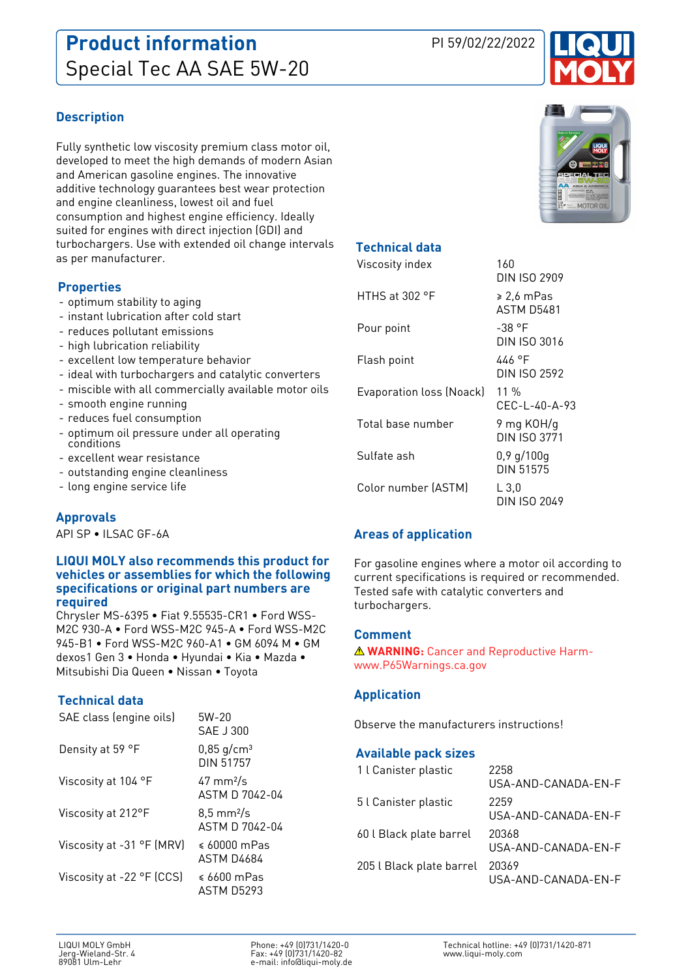

## **Description**

Fully synthetic low viscosity premium class motor oil, developed to meet the high demands of modern Asian and American gasoline engines. The innovative additive technology guarantees best wear protection and engine cleanliness, lowest oil and fuel consumption and highest engine efficiency. Ideally suited for engines with direct injection (GDI) and turbochargers. Use with extended oil change intervals as per manufacturer.

#### **Properties**

- optimum stability to aging
- instant lubrication after cold start
- reduces pollutant emissions
- high lubrication reliability
- excellent low temperature behavior
- ideal with turbochargers and catalytic converters
- miscible with all commercially available motor oils
- smooth engine running
- reduces fuel consumption
- optimum oil pressure under all operating conditions
- excellent wear resistance
- outstanding engine cleanliness
- long engine service life

## **Approvals**

API SP • ILSAC GF-6A

#### **LIQUI MOLY also recommends this product for vehicles or assemblies for which the following specifications or original part numbers are required**

Chrysler MS-6395 • Fiat 9.55535-CR1 • Ford WSS-M2C 930-A • Ford WSS-M2C 945-A • Ford WSS-M2C 945-B1 • Ford WSS-M2C 960-A1 • GM 6094 M • GM dexos1 Gen 3 • Honda • Hyundai • Kia • Mazda • Mitsubishi Dia Queen • Nissan • Toyota

## **Technical data**

| $5W-20$<br>SAF J300                           |
|-----------------------------------------------|
| $0,85$ g/cm <sup>3</sup><br>DIN 51757         |
| $47 \text{ mm}^2$ /s<br>ASTM D 7042-04        |
| $8,5 \text{ mm}^2/\text{s}$<br>ASTM D 7042-04 |
| $\leq 60000$ mPas<br>ASTM D4684               |
| $\leqslant$ 6600 mPas<br>ASTM D5293           |
|                                               |



## **Technical data**

| Viscosity index          | 160<br>DIN ISO 2909           |
|--------------------------|-------------------------------|
| HTHS at $302$ °F         | ≥ 2.6 mPas<br>ASTM D5481      |
| Pour point               | -38 °F<br>DIN ISO 3016        |
| Flash point              | 446 °F<br><b>DIN ISO 2592</b> |
| Evaporation loss (Noack) | $11\%$<br>CFC-1-40-A-93       |
| Total base number        | 9 mg KOH/g<br>DIN ISO 3771    |
| Sulfate ash              | $0,9$ g/100g<br>DIN 51575     |
| Color number (ASTM)      | L3,0<br>DIN ISO 2049          |

## **Areas of application**

For gasoline engines where a motor oil according to current specifications is required or recommended. Tested safe with catalytic converters and turbochargers.

## **Comment**

**WARNING:** Cancer and Reproductive Harmwww.P65Warnings.ca.gov

#### **Application**

Observe the manufacturers instructions!

#### **Available pack sizes**

| 1 l Canister plastic     | 2258<br>USA-AND-CANADA-EN-F  |
|--------------------------|------------------------------|
| 5 l Canister plastic     | 2259<br>USA-AND-CANADA-EN-F  |
| 60 l Black plate barrel  | 20368<br>USA-AND-CANADA-EN-F |
| 205 l Black plate barrel | 20369<br>USA-AND-CANADA-EN-F |